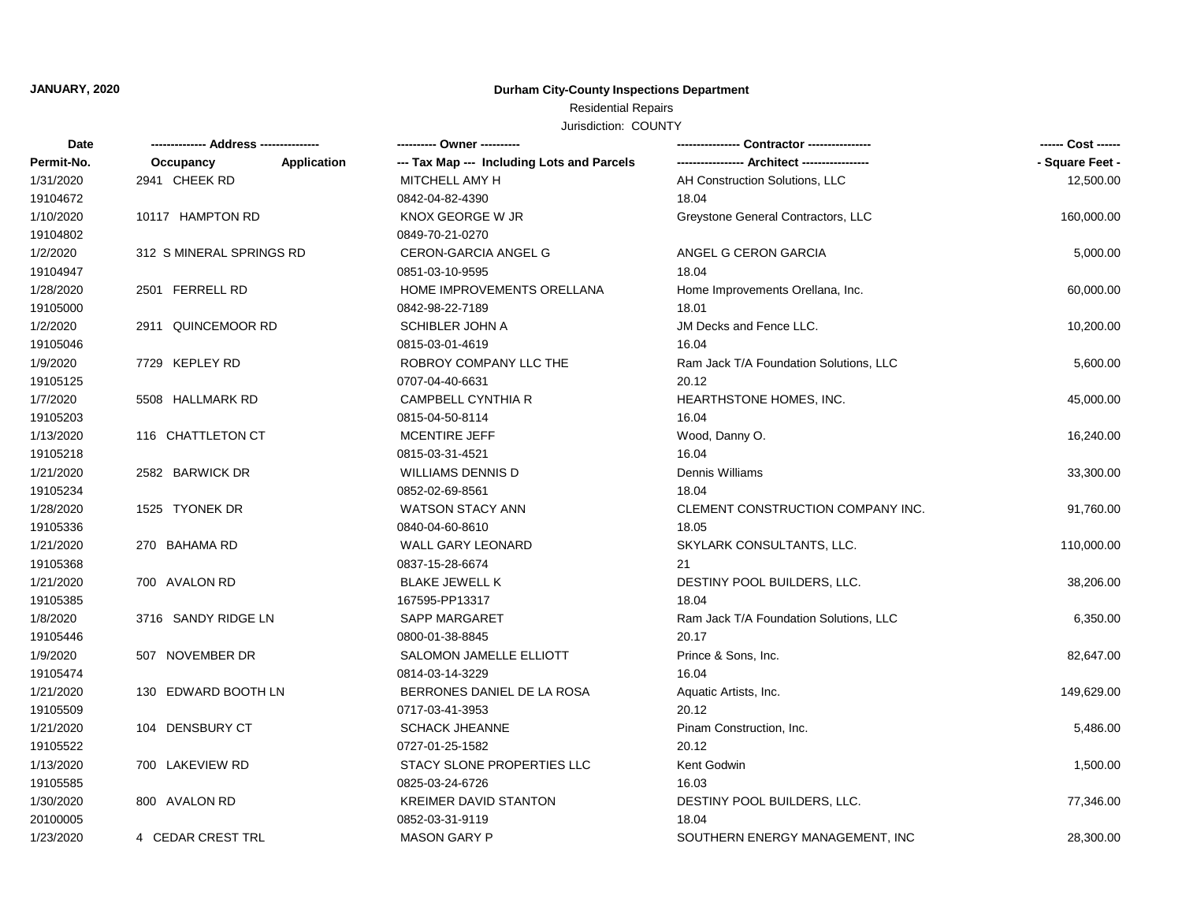### **JANUARY, 2020**

## **Durham City-County Inspections Department**

## Residential Repairs

Jurisdiction: COUNTY

| <b>Date</b> |                          |             | ---------- Owner ----------                |                                        | ------ Cost ------ |
|-------------|--------------------------|-------------|--------------------------------------------|----------------------------------------|--------------------|
| Permit-No.  | Occupancy                | Application | --- Tax Map --- Including Lots and Parcels |                                        | - Square Feet -    |
| 1/31/2020   | 2941 CHEEK RD            |             | MITCHELL AMY H                             | AH Construction Solutions, LLC         | 12,500.00          |
| 19104672    |                          |             | 0842-04-82-4390                            | 18.04                                  |                    |
| 1/10/2020   | 10117 HAMPTON RD         |             | KNOX GEORGE W JR                           | Greystone General Contractors, LLC     | 160,000.00         |
| 19104802    |                          |             | 0849-70-21-0270                            |                                        |                    |
| 1/2/2020    | 312 S MINERAL SPRINGS RD |             | <b>CERON-GARCIA ANGEL G</b>                | ANGEL G CERON GARCIA                   | 5,000.00           |
| 19104947    |                          |             | 0851-03-10-9595                            | 18.04                                  |                    |
| 1/28/2020   | 2501 FERRELL RD          |             | HOME IMPROVEMENTS ORELLANA                 | Home Improvements Orellana, Inc.       | 60,000.00          |
| 19105000    |                          |             | 0842-98-22-7189                            | 18.01                                  |                    |
| 1/2/2020    | 2911 QUINCEMOOR RD       |             | <b>SCHIBLER JOHN A</b>                     | JM Decks and Fence LLC.                | 10,200.00          |
| 19105046    |                          |             | 0815-03-01-4619                            | 16.04                                  |                    |
| 1/9/2020    | 7729 KEPLEY RD           |             | ROBROY COMPANY LLC THE                     | Ram Jack T/A Foundation Solutions, LLC | 5,600.00           |
| 19105125    |                          |             | 0707-04-40-6631                            | 20.12                                  |                    |
| 1/7/2020    | 5508 HALLMARK RD         |             | <b>CAMPBELL CYNTHIA R</b>                  | HEARTHSTONE HOMES, INC.                | 45,000.00          |
| 19105203    |                          |             | 0815-04-50-8114                            | 16.04                                  |                    |
| 1/13/2020   | 116 CHATTLETON CT        |             | MCENTIRE JEFF                              | Wood, Danny O.                         | 16,240.00          |
| 19105218    |                          |             | 0815-03-31-4521                            | 16.04                                  |                    |
| 1/21/2020   | 2582 BARWICK DR          |             | <b>WILLIAMS DENNIS D</b>                   | Dennis Williams                        | 33,300.00          |
| 19105234    |                          |             | 0852-02-69-8561                            | 18.04                                  |                    |
| 1/28/2020   | 1525 TYONEK DR           |             | <b>WATSON STACY ANN</b>                    | CLEMENT CONSTRUCTION COMPANY INC.      | 91,760.00          |
| 19105336    |                          |             | 0840-04-60-8610                            | 18.05                                  |                    |
| 1/21/2020   | 270 BAHAMA RD            |             | <b>WALL GARY LEONARD</b>                   | SKYLARK CONSULTANTS, LLC.              | 110,000.00         |
| 19105368    |                          |             | 0837-15-28-6674                            | 21                                     |                    |
| 1/21/2020   | 700 AVALON RD            |             | <b>BLAKE JEWELL K</b>                      | DESTINY POOL BUILDERS, LLC.            | 38,206.00          |
| 19105385    |                          |             | 167595-PP13317                             | 18.04                                  |                    |
| 1/8/2020    | 3716 SANDY RIDGE LN      |             | <b>SAPP MARGARET</b>                       | Ram Jack T/A Foundation Solutions, LLC | 6,350.00           |
| 19105446    |                          |             | 0800-01-38-8845                            | 20.17                                  |                    |
| 1/9/2020    | 507 NOVEMBER DR          |             | SALOMON JAMELLE ELLIOTT                    | Prince & Sons, Inc.                    | 82,647.00          |
| 19105474    |                          |             | 0814-03-14-3229                            | 16.04                                  |                    |
| 1/21/2020   | 130 EDWARD BOOTH LN      |             | BERRONES DANIEL DE LA ROSA                 | Aquatic Artists, Inc.                  | 149,629.00         |
| 19105509    |                          |             | 0717-03-41-3953                            | 20.12                                  |                    |
| 1/21/2020   | 104 DENSBURY CT          |             | <b>SCHACK JHEANNE</b>                      | Pinam Construction, Inc.               | 5,486.00           |
| 19105522    |                          |             | 0727-01-25-1582                            | 20.12                                  |                    |
| 1/13/2020   | 700 LAKEVIEW RD          |             | STACY SLONE PROPERTIES LLC                 | Kent Godwin                            | 1,500.00           |
| 19105585    |                          |             | 0825-03-24-6726                            | 16.03                                  |                    |
| 1/30/2020   | 800 AVALON RD            |             | <b>KREIMER DAVID STANTON</b>               | DESTINY POOL BUILDERS, LLC.            | 77,346.00          |
| 20100005    |                          |             | 0852-03-31-9119                            | 18.04                                  |                    |
| 1/23/2020   | 4 CEDAR CREST TRL        |             | <b>MASON GARY P</b>                        | SOUTHERN ENERGY MANAGEMENT. INC        | 28,300.00          |